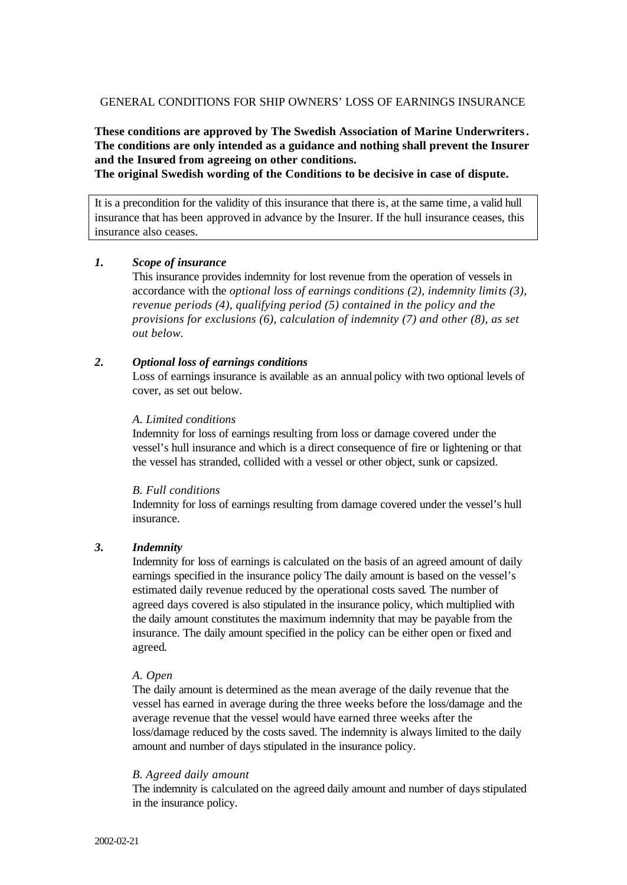## GENERAL CONDITIONS FOR SHIP OWNERS' LOSS OF EARNINGS INSURANCE

# **These conditions are approved by The Swedish Association of Marine Underwriters. The conditions are only intended as a guidance and nothing shall prevent the Insurer and the Insured from agreeing on other conditions.**

**The original Swedish wording of the Conditions to be decisive in case of dispute.**

It is a precondition for the validity of this insurance that there is, at the same time, a valid hull insurance that has been approved in advance by the Insurer. If the hull insurance ceases, this insurance also ceases.

#### *1. Scope of insurance*

This insurance provides indemnity for lost revenue from the operation of vessels in accordance with the *optional loss of earnings conditions (2), indemnity limits (3), revenue periods (4), qualifying period (5) contained in the policy and the provisions for exclusions (6), calculation of indemnity (7) and other (8), as set out below.*

## *2. Optional loss of earnings conditions*

Loss of earnings insurance is available as an annual policy with two optional levels of cover, as set out below.

#### *A. Limited conditions*

Indemnity for loss of earnings resulting from loss or damage covered under the vessel's hull insurance and which is a direct consequence of fire or lightening or that the vessel has stranded, collided with a vessel or other object, sunk or capsized.

#### *B. Full conditions*

Indemnity for loss of earnings resulting from damage covered under the vessel's hull insurance.

## *3. Indemnity*

Indemnity for loss of earnings is calculated on the basis of an agreed amount of daily earnings specified in the insurance policy The daily amount is based on the vessel's estimated daily revenue reduced by the operational costs saved. The number of agreed days covered is also stipulated in the insurance policy, which multiplied with the daily amount constitutes the maximum indemnity that may be payable from the insurance. The daily amount specified in the policy can be either open or fixed and agreed.

#### *A. Open*

The daily amount is determined as the mean average of the daily revenue that the vessel has earned in average during the three weeks before the loss/damage and the average revenue that the vessel would have earned three weeks after the loss/damage reduced by the costs saved. The indemnity is always limited to the daily amount and number of days stipulated in the insurance policy.

#### *B. Agreed daily amount*

The indemnity is calculated on the agreed daily amount and number of days stipulated in the insurance policy.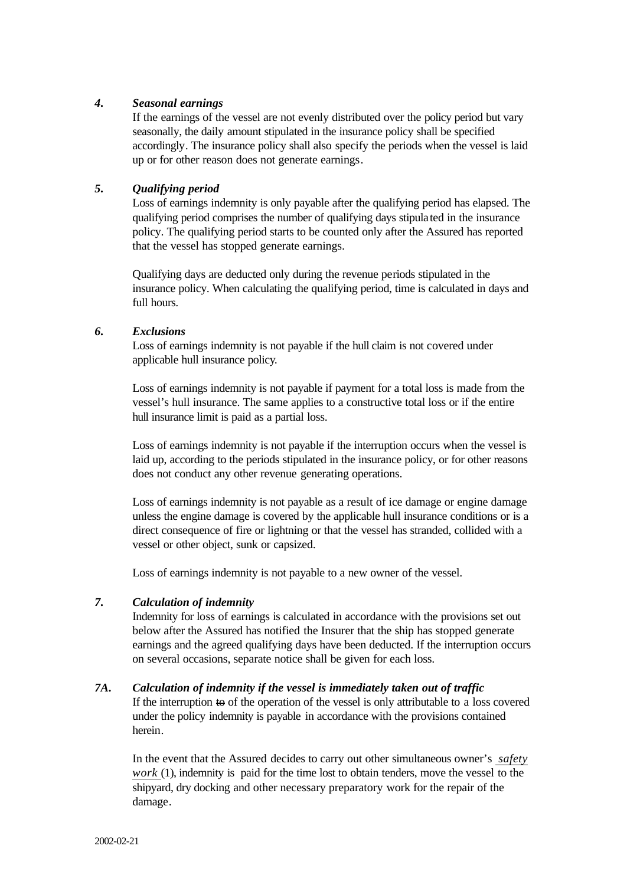## *4. Seasonal earnings*

If the earnings of the vessel are not evenly distributed over the policy period but vary seasonally, the daily amount stipulated in the insurance policy shall be specified accordingly. The insurance policy shall also specify the periods when the vessel is laid up or for other reason does not generate earnings.

## *5. Qualifying period*

Loss of earnings indemnity is only payable after the qualifying period has elapsed. The qualifying period comprises the number of qualifying days stipulated in the insurance policy. The qualifying period starts to be counted only after the Assured has reported that the vessel has stopped generate earnings.

Qualifying days are deducted only during the revenue periods stipulated in the insurance policy. When calculating the qualifying period, time is calculated in days and full hours.

## *6. Exclusions*

Loss of earnings indemnity is not payable if the hull claim is not covered under applicable hull insurance policy.

Loss of earnings indemnity is not payable if payment for a total loss is made from the vessel's hull insurance. The same applies to a constructive total loss or if the entire hull insurance limit is paid as a partial loss.

Loss of earnings indemnity is not payable if the interruption occurs when the vessel is laid up, according to the periods stipulated in the insurance policy, or for other reasons does not conduct any other revenue generating operations.

Loss of earnings indemnity is not payable as a result of ice damage or engine damage unless the engine damage is covered by the applicable hull insurance conditions or is a direct consequence of fire or lightning or that the vessel has stranded, collided with a vessel or other object, sunk or capsized.

Loss of earnings indemnity is not payable to a new owner of the vessel.

## *7. Calculation of indemnity*

Indemnity for loss of earnings is calculated in accordance with the provisions set out below after the Assured has notified the Insurer that the ship has stopped generate earnings and the agreed qualifying days have been deducted. If the interruption occurs on several occasions, separate notice shall be given for each loss.

## *7A. Calculation of indemnity if the vessel is immediately taken out of traffic*

If the interruption  $\leftrightarrow$  of the operation of the vessel is only attributable to a loss covered under the policy indemnity is payable in accordance with the provisions contained herein.

In the event that the Assured decides to carry out other simultaneous owner's *safety work* (1), indemnity is paid for the time lost to obtain tenders, move the vessel to the shipyard, dry docking and other necessary preparatory work for the repair of the damage.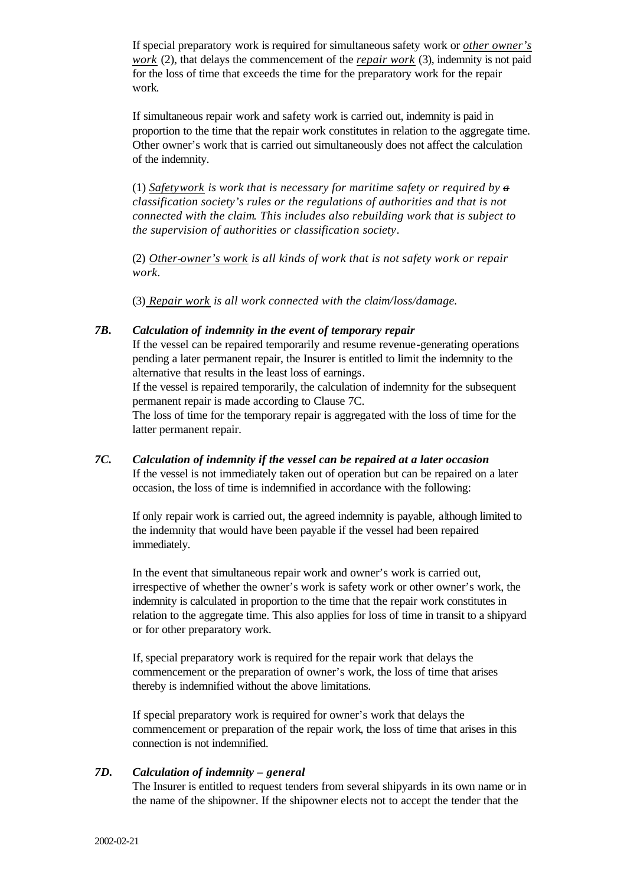If special preparatory work is required for simultaneous safety work or *other owner's work* (2), that delays the commencement of the *repair work* (3), indemnity is not paid for the loss of time that exceeds the time for the preparatory work for the repair work.

If simultaneous repair work and safety work is carried out, indemnity is paid in proportion to the time that the repair work constitutes in relation to the aggregate time. Other owner's work that is carried out simultaneously does not affect the calculation of the indemnity.

(1) *Safetywork is work that is necessary for maritime safety or required by a classification society's rules or the regulations of authorities and that is not connected with the claim. This includes also rebuilding work that is subject to the supervision of authorities or classification society.* 

(2) *Other owner's work is all kinds of work that is not safety work or repair work.* 

(3) *Repair work is all work connected with the claim/loss/damage.*

## *7B. Calculation of indemnity in the event of temporary repair*

If the vessel can be repaired temporarily and resume revenue-generating operations pending a later permanent repair, the Insurer is entitled to limit the indemnity to the alternative that results in the least loss of earnings.

If the vessel is repaired temporarily, the calculation of indemnity for the subsequent permanent repair is made according to Clause 7C.

The loss of time for the temporary repair is aggregated with the loss of time for the latter permanent repair.

*7C. Calculation of indemnity if the vessel can be repaired at a later occasion*  If the vessel is not immediately taken out of operation but can be repaired on a later occasion, the loss of time is indemnified in accordance with the following:

If only repair work is carried out, the agreed indemnity is payable, although limited to the indemnity that would have been payable if the vessel had been repaired immediately.

In the event that simultaneous repair work and owner's work is carried out, irrespective of whether the owner's work is safety work or other owner's work, the indemnity is calculated in proportion to the time that the repair work constitutes in relation to the aggregate time. This also applies for loss of time in transit to a shipyard or for other preparatory work.

If, special preparatory work is required for the repair work that delays the commencement or the preparation of owner's work, the loss of time that arises thereby is indemnified without the above limitations.

If special preparatory work is required for owner's work that delays the commencement or preparation of the repair work, the loss of time that arises in this connection is not indemnified.

## *7D. Calculation of indemnity – general*

The Insurer is entitled to request tenders from several shipyards in its own name or in the name of the shipowner. If the shipowner elects not to accept the tender that the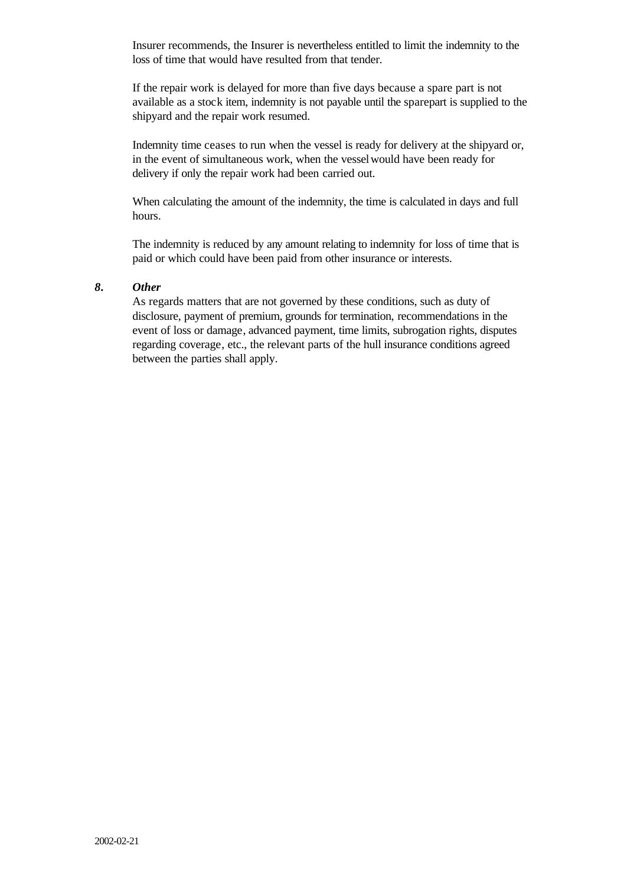Insurer recommends, the Insurer is nevertheless entitled to limit the indemnity to the loss of time that would have resulted from that tender.

If the repair work is delayed for more than five days because a spare part is not available as a stock item, indemnity is not payable until the sparepart is supplied to the shipyard and the repair work resumed.

Indemnity time ceases to run when the vessel is ready for delivery at the shipyard or, in the event of simultaneous work, when the vessel would have been ready for delivery if only the repair work had been carried out.

When calculating the amount of the indemnity, the time is calculated in days and full hours.

The indemnity is reduced by any amount relating to indemnity for loss of time that is paid or which could have been paid from other insurance or interests.

#### *8. Other*

As regards matters that are not governed by these conditions, such as duty of disclosure, payment of premium, grounds for termination, recommendations in the event of loss or damage, advanced payment, time limits, subrogation rights, disputes regarding coverage, etc., the relevant parts of the hull insurance conditions agreed between the parties shall apply.